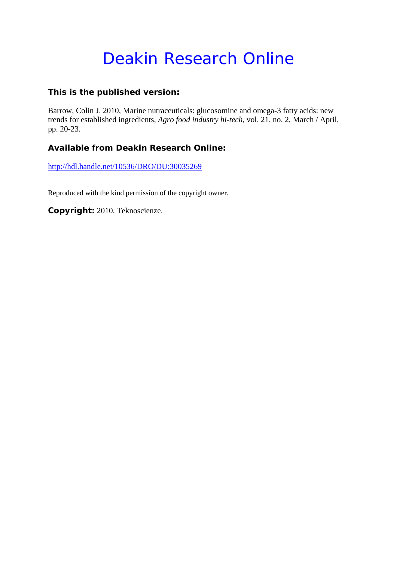# Deakin Research Online

### **This is the published version:**

Barrow, Colin J. 2010, Marine nutraceuticals: glucosomine and omega-3 fatty acids: new trends for established ingredients*, Agro food industry hi-tech*, vol. 21, no. 2, March / April, pp. 20-23.

## **Available from Deakin Research Online:**

http://hdl.handle.net/10536/DRO/DU:30035269

Reproduced with the kind permission of the copyright owner.

**Copyright:** 2010, Teknoscienze.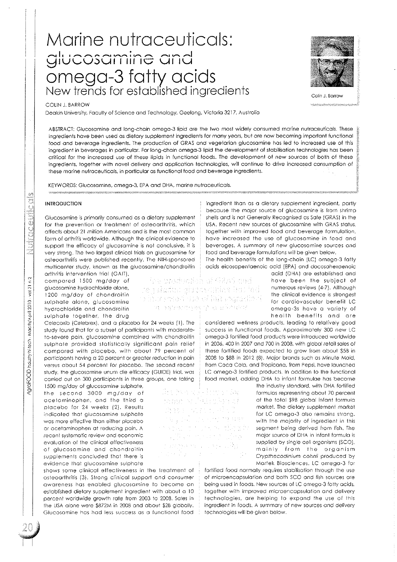## Marine nutraceuticals:  $g$ lucosamine and omega-3 fatty acids New trends for established ingredients  $\overline{\phantom{a}}_{\rm Colin. 8arow}$



#### COLIN J. BARROW

Deakin University, Faculty of Science and Technology, Geelong, Victoria 3217, Australia

ABSTRACT: Glucosamine and long-chain omego-3 lipid are the two most widely consumed marine nutraceuticals. These ingredients have been used as dietary supplement ingredients for many years, but are now becoming important functional food and beverage ingredients, The production of GRAS and vegetarian glucosamine has led to increased use of this ingredient in beverages in particular. For long-chain omega-3 lipid the development of stabilisation technologies has been critical for the increased use of these lipids in functional foods. The development of new sources of both of these ingredients, together with novel delivery and application technologies, will continue to drive increased consumption of these marine nutraceuticals, in particular as functional food and beverage ingredients.

KEYWORDS: Glucosamine, omega-3, EPA and DHA, marine nutraceuticals,

#### INTRODUCTION

Glucosamine is primarily consumed as a dietary supplement for the prevention or treatment of osteoarthritis, which affects about 21 million Americans and is the most common form of arthritis worldwide. Although the clinical evidence to support the efficacy of glucosamine is not conclusive, it is very strong. The two largest clinical trials on glucosamine for osteoarthritis were published recently, The NIH-sponsored multicenter study, known as the glucosamine/chondroitin

arthritis intervention trial (GAIT), compared 1500 mg/day of glucosamine hydrochloride alone, 1200 mg/day of chondroitin sulphate alone, glucosamine hydrochloride and chondroitin sulphate together, the drug

Celecoxib (Celebrex), and a placebo for 24 weeks (1), The study found that for a subset of participants with moderateto-severe pain, glucosamine combined with chondroitin sulphate provided stotislically significant pain relief compared with placebo, with about 79 percent of participants having a 20 percent or greater reduction in pain versus about 54 percent for placebo. The second recent study, the glucosamine unum die efficacy (GUIDE) trial, was carried out on 300 participants in three groups, one taking

1500 mg/day of glucosamine sulphate, the second 3000 mg/day of acetaminophen, and the third a placebo for 24 weeks (2). Results indicated that glucosamine sulphate was more effective than either placebo or acetaminophen at reducing pain. A recent systematic review and economic evaluation of the clinical effectiveness of glucosamine and chondroitin supplements concluded that there is evidence Ihat glucosamine sulphate

shows some clinical effectiveness in the treatment of osteoarthritis (3). Strong clinical support and consumer awareness has enabled glucosamine to become an established dietary supplement ingredient with about a 10 percent worldwide growth rate from 2003 to 2008. Sales in the USA alone were \$872M in 2008 and about \$2B globally. Glucosamine has had less success as a functional food ingredient than as a dietary supplement ingredient, partly because the major source of glucosamine is from shrimp shells and is not Generally Recognised as Safe (GRAS) in the USA. Recent new sources of glucosamine with GRAS status, together with improved food and beverage formulation, have increased the use of glucosamine in food and beverages. A summary of new glucosamine sources and food and beverage formulations will be given below.

The health benefits of the long-chain (LC) omega-3 fatty acids eicosapentaenoic acid (EPA) and docosahexaenoic

Spectrodycibi di GRAS cudi ke nakatima diugoskania e hos bod o increment use of Stirongestion ( m astremyes in a allindar.

> ha han dikilombo Az ram y Pilicika*d* Ann which died

e i 1979<br>Stanjeni i 1979 i 1979 i 1989<br>Stanjeni i 1979 i 1989 i 1989 i 1989

VIR an interest subset

panga sa lulaya 1931.<br>Kabupatèn P

acid (DHA) are established and have been the subject of numerous reviews (4-7). Although the clinical evidence is strongest for cardiovascular benefit LC omega-3s have a variety of health benefits and are

considered wellness products, leading to relatively good success in functional foods. Approximately 300 new LC omega-3 fortified food products were introduced worldwide in 2006, 400 in 2007 and 700 in 2008, with global retail sales of these fortified foods expected to grow from about \$5B in 2008 to \$8B in 2012 (8). Major brands such as Minute Maid, from Coca Cola, and Tropicana, from Pepsi, have launched LC omega-3 fortified products. In addition to the functional food market, adding DHA to infant formulae has become

the industry standard, with DHA fortified formulas representing about 70 percent of the total \$9B global infant formula market. The dietary supplement market for I.C omega-3 also remains strong, with the majorily of ingredient in this segment being derived from fish. The major source of DHA in infanl formula is supplied by single cell organisms (SCO). mainly from the organism Crypthecodinium cohni; produced by Martek Biosciences, LC omega-3 for

fortified food normally requires stabilisation through the use of microencapsulation and both SCQ and fish sources are being used in foods. New sources of LC omega-3 fatty acids, together with improved microencapsulation and delivery technologies, are helping 10 expand the use of this ingredient in foods. A summary of new sources and delivery technologies will be given below.

 $\mathcal{G}^{\prime}$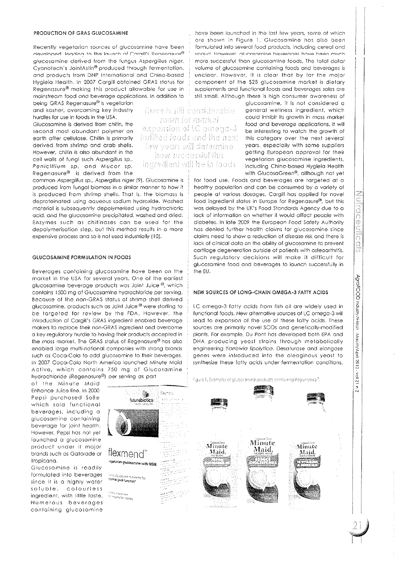#### PRODUCTION OF GRAS GLUCOSAMINE

Recently vegetarian sources of glucosomine have been developed Teading to the Iguach of Carall's Regenasure® glucosamine derived from the fungus Aspergillus niger, Cyanotech's JointAstin® produced through fermentation, and products from DNP Internationol ond Chino-based Hygieia Health. In 2007 Cargill obtained GRAS status for Regenosure@ making this product allowable for use in mainstream food and beverage applications. In addition to being GRAS Regenasure<sup>®</sup> is vegetarian

and kosher, overcoming key industry hurdles for use in foods in the USA. Glucosamine is derived from chitin, the second most abundant polymer on earth after cellulose. Chitin is primarily derived from shrimp and crab shells. However, chitin is also abundant in the cell walls of fungi such Aspergillus sp., Penicillium sp. and Mucor sp. Regenasure@ is derived from the

common Aspergillus sp., Aspergillus niger (9). Glucosamine is produced from fungal biomass in a similar manner to how it is produced from shrimp shells. That is, the biomass is deproteinated using aqueous sodium hydroxide. Washed material is subsequently depolymerised using hydrochloric acid, and the glucosamine precipitated, washed and dried. Enzymes such as chitinases can be used for the depolymerisation step, but this method results in a *more*  expensive process and so is not used industrially (10).

#### GLUCOSAMINE FORMULATION IN FOODS

Beverages containing glucosamine have been on the market in the USA for several years. One of the earliest giucosamine beverage products was Joint Juice ®, which contoins 1500 mg of Glucosamine hydrochloride per serving. Because of the non-GRAS status of shrimp shell derived glucosamine, products such as Joint Juice<sup>®</sup> were starting to be targeted for review by the FDA. However, the introduction of Cargill's GRAS ingredient enabled beverage makers to replace their non-GRAS ingredient and overcome a key regulatory hurdle to having their products accepled in the mass market. The GRAS status of Regenasure<sup>®</sup> has also enabled large multi-national companies with strong brands such as Coca-Cola to add glucosomine to their beverages. In 2007 Coco-Colo North America launched Minute Maid Active, which contains 750 mg of Glucosamine hydrochloride (Regenasure@) per serving os port

of the Minute Moid Enhance Juice line. In 2000 Pepsi purchased SoBe which sold functional beverages, including a glucosamine containing beverage for joint health. However, Pepsi has not yet launched a glucosomine product under it major brands such os Gatorade or Tropicana.

Glucosamine is readily formulated into beverages since it is a highly water soluble, colourless ingredient. with little toste. Numerous beverages containing glucosamine

There is sill considerable room for market expansion of tC omega-3 forlifted foods and the next lew years will determine how successful this aboot al ed lliv fasiberad

have been launched in the lost few years, some of which are shown in Figure 1. Glucosamine has also been formulated into several food products, including cereal and vonurt However, alucosamine beverages have been much more successful than glucosamine foods. The total dollar volume of glucosamine containing foods and beverages is unclear. However, it is clear that by far the major component of the \$2B glucosamine market is dietary supplements and functional foods and beverages sales are still small. Although there is high consumer awareness of

> glucosamine, it is not considered a general wellness ingredient, which could inhibit its growth in mass market food and beverage applications. It will be interesting to walch the growth of this category over the next several years, especially with some suppliers getting European approval for their vegetarian glucosamine ingredients, including China-based Hygieia Health with GlucosaGreen<sup>®</sup>, although not yet

> > oong<br>P

d Ő ₽ en<br>Ing Ô Í Ä

AgroFOOD industry hi-tech

Macrh/April

12010

 $1219x$ 

 $\frac{1}{2}$ 

for food use. Foods and beverages are targeted at a healthy population and can be consumed by a variety of people at various dosages. Cargill has applied for novel food ingredient status in Europe for Regenasure@, but this was delayed by the UK's Food Standards Agency due to a lack of information on whether it would affect people with diabetes. In late 2009 the European Food Safety Authority has denied further health claims for glucosamine since claims need to show a reduction of disease risk and there is lack of clinical data on the ability of glucosamine to prevent cartilage degeneration outside of patients with osteoarthritis. Such regulatory decisions will make it difficult for glucosamine food and beverages to launch successfully in the EU.

#### NEW SOURCES OF LONG-CHAIN OMEGA-3 FATTY ACIDS

LC omega-3 fatty acids from fish oil are widely used in functional foods. New alternative sources of LC omega-3 will lead to expansion of the use of these fatty acids. These sources are primarily novel SCOs and genetically-modified plants. For example, Du Pont has developed both EPA and DHA producing yeast strains through metabolically engineering Yarrowia lipolytica. Desaturase and elongase genes were introduced into the oleaginous yeast to synthesize these fatty acids under fermentation conditions.

Figure 1, Examples of glucosamine products conforming Regenasive?.

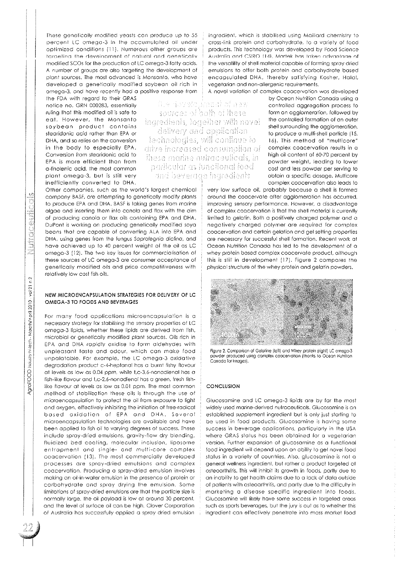These genetically modified yeasts con produce up to 55 percent LC omega-3 in the accumulated oil under optimized conditions (11). Numerous other groups are targeting the development of natural and genetically modified SCOs for the production of LC omega-3 fatty acids. A number of groups are also targeting the development of plont sources. The most advanced is Monsanto, who have developed a genetically modified soybean oil rich in omega-3, and have recently had a positive response from

the FDA with regard to their GRAS notice no. GRN 000283, essentially ruling that this modified oil is safe to eat. However. the Monsanto soybean product contains stearidonic acid rather than EPA or DHA, and so relies on the conversion in the body to especially EPA. Conversion from slearidonic acid to EPA is more efficient than from a~linolenic acid, the most common plant omega~3, but is still very inefficiently converted to DHA.

il e dovolo, inani of now sources of both of these ingrediants, logather with novel delivery and application<br>technologies, will confinue to drive increased consumption of these marine nutraceuticals, in particular as functional food and beyerage ingredients

Other companies, such as the world's largest chemical company BASF, are attempting to genetically modify plants to produce EPA and DHA. BASF is taking genes from marine algae and inserting them into canola and flax with the aim of producing canola or flax oils containing EPA and DHA. DuPont is working on producing genetically modified soya beans that are capable of converting ALA into EPA and DHA, using genes from the fungus Saprolegnia diclina, and have achieved up to 40 percent weight of the oil as LC omega~3 (12). The two key issues for commercialisation of these sources of LC omega-3 are consumer acceptance of genetically modified oils and price competitiveness with relatively low cost fish oils.

#### NEW MICROENCAPSULATION STRATEGIES FOR DELIVERY OF LC OMEGA-3 TO FOODS AND BEVERAGES

For many food applications microencapsulation is a necessary strategy for stabilising the sensory properties of LC omega-3 lipids, whether these lipids are derived from fish, microbial or genetically modified plant sources. Oils rich in EPA and DHA rapidly oxidise to form aldehydes with unpleasant taste and odour. which can make food unpalatable. For example, the LC omega-3 oxidative degradation product c-4-heptanal has a burnt fishy flavour at levels as low as 0.04 ppm, while t,c-3.6-nonadienal has a fish-like flavour and f,c-2,6-nonadienal has a green, fresh fishlike flavour at levels as low as 0.01 ppm. The most common method of stabilization these oils is through the use of microencapsulation to protect the oil from exposure to light and oxygen. effectively inhibiting the initiation of free-radical based oxidation of EPA and DHA. Several microencapsulation technologies are available and have been applied to fish oil to varying degrees of success. These include spray-dried emulsions, gravity-flow dry blending, fluidized bed coating, molecular inclusion, liposome entrapment and single- and multi-core complex coacervalion (13). The most commercially developed processes are spray-dried emulsions and complex coacervation. Producing a spray-dried emulsion involves making an oil-in-water emulsion in the presence of protein or carbohydrate and spray drying the emulsion. Some limitations of spray-dried emulsions are that the particle size is normally large, the oil payload is low at around 30 percent, and the level of surface oil can be high. Clover Corporation of Australia has successfully applied a spray dried emulsion ingredient, which is stabilised using Maillard chemistry to cross-link protein and corbohydrate, to a variety of food products. This technology was developed by Food Science Australia and CSIRO (14), Martek has taken advantage of the versatility of shell material capable of forming spray dried emulsions to offer both protein and carbohydrate based encapsulated DHA, thereby satisfying Kosher, Halal, vegetarian and non-allergenic requirements.

A novel variation of complex coacervation was developed by Ocean Nutrition Canada using a controlled aggregation process to form on agglomeration, followed by the controlled formation of on ouler shell surrounding the agglomeration, to produce a multi-shell particle (15, 16). This method of "multicore" complex coacervation results in a high oil content of 60-70 percent by powder weight, leading to lower cost and less powder per serving to obtain a specific dosage. Multicore complex coacervation also leads to

very low surface oil, probably because a shell is formed around the coacervate after agglomeration has occurred, improving sensory performance. However, a disadvantage of complex coacervation is that the shell material is currently limited to gelatin. Both a positively charged polymer and a negatively charged polymer are required for complex coacervation and certain gelation and gel setting properties are necessary for successful shell formation. Recent work at Ocean Nutrition Canada has led to the development of a whey protein based complex coacervate product. although this is still in development (17). Figure 2 compares the physical structure of the whey protein and gelatin powders.



Figure 2. Comparison of Gelatine (lef!) and Whey prolein (right) lC omego-3 powder produced using complex coocervolion (lhonks to Oceon Nutrilion Canada forimages).

#### CONCLUSION

Glucosamine and LC omega-3 lipids are by for the most widely used marine-derived nutraceuticals. Glucosamine is an established supplement ingredient but is only just starling to be used in food products. Glucosamine is having some success in beverage applications. particularly in the USA where GRAS status has been obtained for a vegetarian version. Further expansion of glucosamine as a functional food ingredient will depend upon an ability 10 get novel food status in a variety of countries. Also, glucosamine is not a general wellness ingredient. but rather a product targeted at osteoarthritis. This wilt inhibit its growth in foods, portly due to an inability to get health claims due to a lack of data outside of patients with osteoarthritis, and partly due to the difficulty in marketing a disease specific ingredient into foods. Glucosamine wlll likely have some success in targeted areas such as sports beverages, but Ihe jury is out os to whether this ingredient can effeclively penetrate into moss market food

 $\vert$ 

 $\mathbb{Z}$ 

 $\vert \ \ \vert$